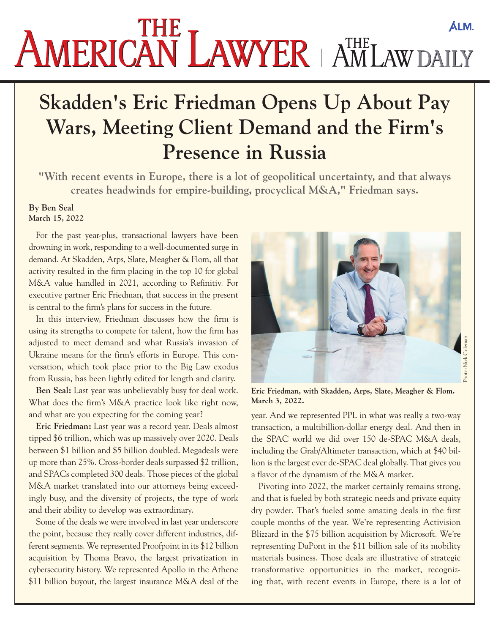## **AMERICAN LAWYER** AMLAW DAILY

## **Skadden's Eric Friedman Opens Up About Pay Wars, Meeting Client Demand and the Firm's Presence in Russia**

**"With recent events in Europe, there is a lot of geopolitical uncertainty, and that always creates headwinds for empire-building, procyclical M&A," Friedman says.**

## **By Ben Seal March 15, 2022**

For the past year-plus, transactional lawyers have been drowning in work, responding to a well-documented surge in demand. At Skadden, Arps, Slate, Meagher & Flom, all that activity resulted in the firm placing in the top 10 for global M&A value handled in 2021, according to Refinitiv. For executive partner Eric Friedman, that success in the present is central to the firm's plans for success in the future.

In this interview, Friedman discusses how the firm is using its strengths to compete for talent, how the firm has adjusted to meet demand and what Russia's invasion of Ukraine means for the firm's efforts in Europe. This conversation, which took place prior to the Big Law exodus from Russia, has been lightly edited for length and clarity.

**Ben Seal:** Last year was unbelievably busy for deal work. What does the firm's M&A practice look like right now, and what are you expecting for the coming year?

**Eric Friedman:** Last year was a record year. Deals almost tipped \$6 trillion, which was up massively over 2020. Deals between \$1 billion and \$5 billion doubled. Megadeals were up more than 25%. Cross-border deals surpassed \$2 trillion, and SPACs completed 300 deals. Those pieces of the global M&A market translated into our attorneys being exceedingly busy, and the diversity of projects, the type of work and their ability to develop was extraordinary.

Some of the deals we were involved in last year underscore the point, because they really cover different industries, different segments. We represented Proofpoint in its \$12 billion acquisition by Thoma Bravo, the largest privatization in cybersecurity history. We represented Apollo in the Athene \$11 billion buyout, the largest insurance M&A deal of the



**Eric Friedman, with Skadden, Arps, Slate, Meagher & Flom. March 3, 2022.**

year. And we represented PPL in what was really a two-way transaction, a multibillion-dollar energy deal. And then in the SPAC world we did over 150 de-SPAC M&A deals, including the Grab/Altimeter transaction, which at \$40 billion is the largest ever de-SPAC deal globally. That gives you a flavor of the dynamism of the M&A market.

Pivoting into 2022, the market certainly remains strong, and that is fueled by both strategic needs and private equity dry powder. That's fueled some amazing deals in the first couple months of the year. We're representing Activision Blizzard in the \$75 billion acquisition by Microsoft. We're representing DuPont in the \$11 billion sale of its mobility materials business. Those deals are illustrative of strategic transformative opportunities in the market, recognizing that, with recent events in Europe, there is a lot of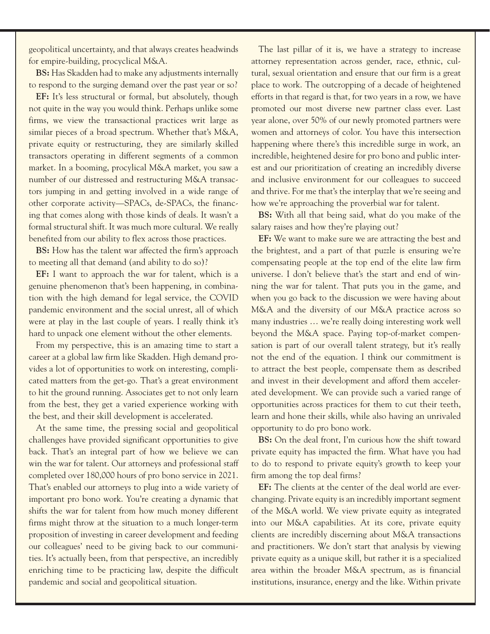geopolitical uncertainty, and that always creates headwinds for empire-building, procyclical M&A.

**BS:** Has Skadden had to make any adjustments internally to respond to the surging demand over the past year or so?

**EF:** It's less structural or formal, but absolutely, though not quite in the way you would think. Perhaps unlike some firms, we view the transactional practices writ large as similar pieces of a broad spectrum. Whether that's M&A, private equity or restructuring, they are similarly skilled transactors operating in different segments of a common market. In a booming, procylical M&A market, you saw a number of our distressed and restructuring M&A transactors jumping in and getting involved in a wide range of other corporate activity—SPACs, de-SPACs, the financing that comes along with those kinds of deals. It wasn't a formal structural shift. It was much more cultural. We really benefited from our ability to flex across those practices.

**BS:** How has the talent war affected the firm's approach to meeting all that demand (and ability to do so)?

**EF:** I want to approach the war for talent, which is a genuine phenomenon that's been happening, in combination with the high demand for legal service, the COVID pandemic environment and the social unrest, all of which were at play in the last couple of years. I really think it's hard to unpack one element without the other elements.

From my perspective, this is an amazing time to start a career at a global law firm like Skadden. High demand provides a lot of opportunities to work on interesting, complicated matters from the get-go. That's a great environment to hit the ground running. Associates get to not only learn from the best, they get a varied experience working with the best, and their skill development is accelerated.

At the same time, the pressing social and geopolitical challenges have provided significant opportunities to give back. That's an integral part of how we believe we can win the war for talent. Our attorneys and professional staff completed over 180,000 hours of pro bono service in 2021. That's enabled our attorneys to plug into a wide variety of important pro bono work. You're creating a dynamic that shifts the war for talent from how much money different firms might throw at the situation to a much longer-term proposition of investing in career development and feeding our colleagues' need to be giving back to our communities. It's actually been, from that perspective, an incredibly enriching time to be practicing law, despite the difficult pandemic and social and geopolitical situation.

The last pillar of it is, we have a strategy to increase attorney representation across gender, race, ethnic, cultural, sexual orientation and ensure that our firm is a great place to work. The outcropping of a decade of heightened efforts in that regard is that, for two years in a row, we have promoted our most diverse new partner class ever. Last year alone, over 50% of our newly promoted partners were women and attorneys of color. You have this intersection happening where there's this incredible surge in work, an incredible, heightened desire for pro bono and public interest and our prioritization of creating an incredibly diverse and inclusive environment for our colleagues to succeed and thrive. For me that's the interplay that we're seeing and how we're approaching the proverbial war for talent.

**BS:** With all that being said, what do you make of the salary raises and how they're playing out?

**EF:** We want to make sure we are attracting the best and the brightest, and a part of that puzzle is ensuring we're compensating people at the top end of the elite law firm universe. I don't believe that's the start and end of winning the war for talent. That puts you in the game, and when you go back to the discussion we were having about M&A and the diversity of our M&A practice across so many industries … we're really doing interesting work well beyond the M&A space. Paying top-of-market compensation is part of our overall talent strategy, but it's really not the end of the equation. I think our commitment is to attract the best people, compensate them as described and invest in their development and afford them accelerated development. We can provide such a varied range of opportunities across practices for them to cut their teeth, learn and hone their skills, while also having an unrivaled opportunity to do pro bono work.

**BS:** On the deal front, I'm curious how the shift toward private equity has impacted the firm. What have you had to do to respond to private equity's growth to keep your firm among the top deal firms?

**EF:** The clients at the center of the deal world are everchanging. Private equity is an incredibly important segment of the M&A world. We view private equity as integrated into our M&A capabilities. At its core, private equity clients are incredibly discerning about M&A transactions and practitioners. We don't start that analysis by viewing private equity as a unique skill, but rather it is a specialized area within the broader M&A spectrum, as is financial institutions, insurance, energy and the like. Within private